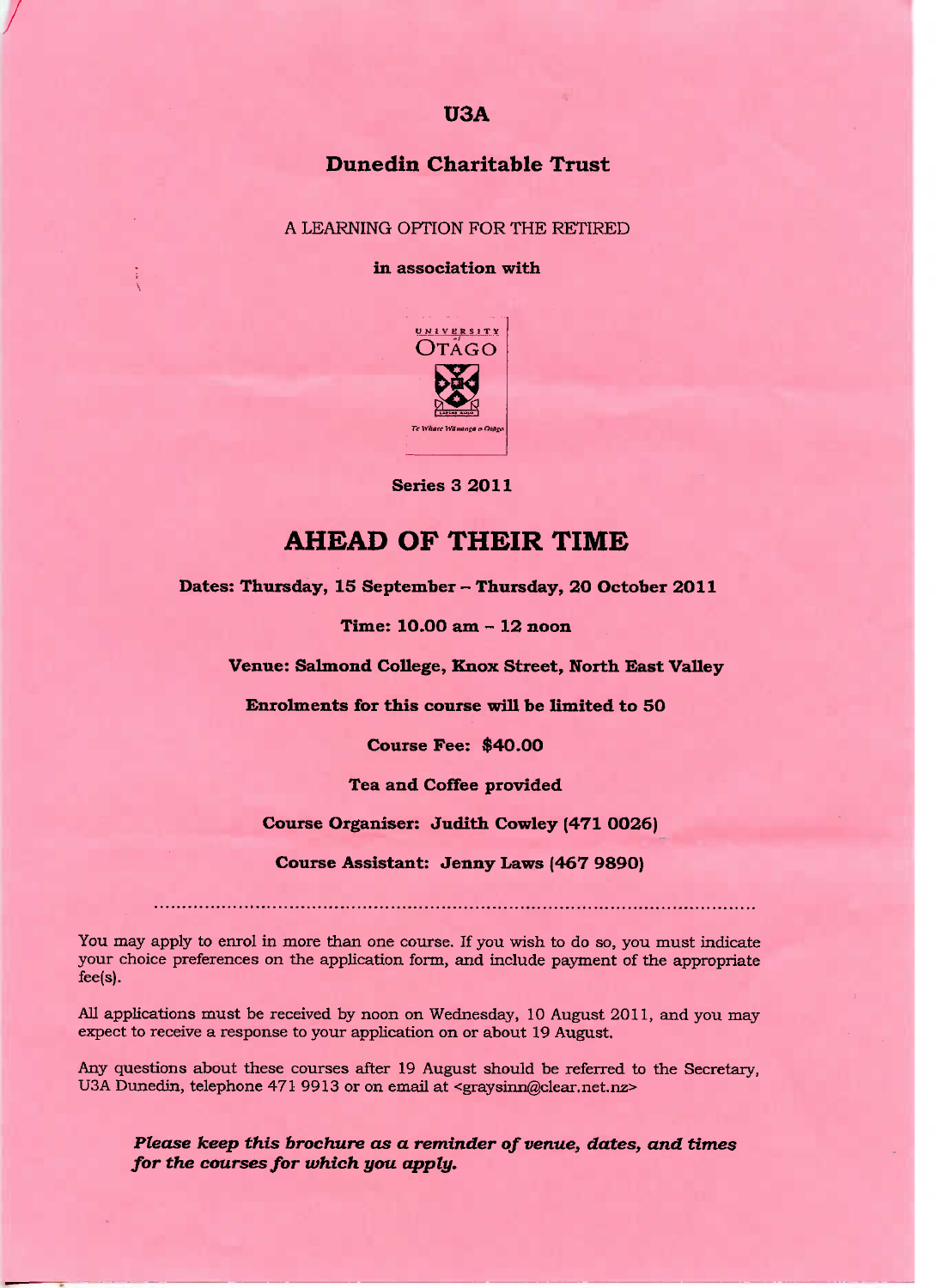## **Dunedin Charitable Trust**

A LEARNING OPTION FOR THE RETIRED

#### **in association with**



**Series 3 2011** 

# **AHEAD OF THEIR TIME**

**Dates: Thursday, 15 September - Thursday, 20 October 2011**

**Time: 10.OO am - 12 noon**

**Venue: Salmond College, Knox Street, North East Valley**

**Enrolments for this course will be limited to 5O**

**Course Fee: \$40.00**

**Tea and Coffee provided**

**Course Organiser: Judith Cowley (471 O026)**

**Course Assistant: Jenny Laws (467 9S9O)**

You may apply to enrol in more than one course. If you wish to do so, you must indicate your choice preferences on the application form, and include payment of the appropriate fee(s).

All applications must be received by noon on Wednesday, 10 August 2011, and you may expect to receive a response to your application on or about 19 August,

Any questions about these courses after 19 August should be referred to the Secretary, USA Dunedin, telephone 471 9913 or on email at <graysinn@clear.net.nz>

*Please keep this brochure as a reminder of venue, dates, and times for the courses for which you apply.*